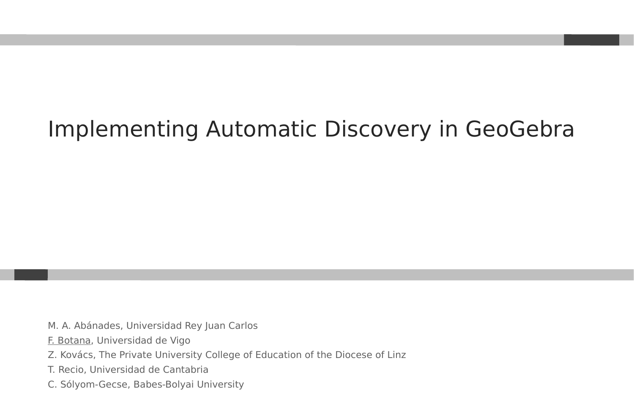#### Implementing Automatic Discovery in GeoGebra

- M. A. Abánades, Universidad Rey Juan Carlos
- F. Botana, Universidad de Vigo
- Z. Kovács, The Private University College of Education of the Diocese of Linz
- T. Recio, Universidad de Cantabria
- C. Sólyom-Gecse, Babes-Bolyai University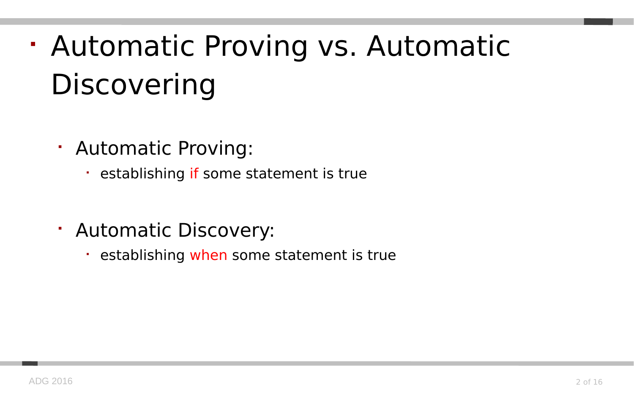# Automatic Proving vs. Automatic **Discovering**

- Automatic Proving:
	- **Example 3 restablishing if some statement is true**
- Automatic Discovery:
	- establishing when some statement is true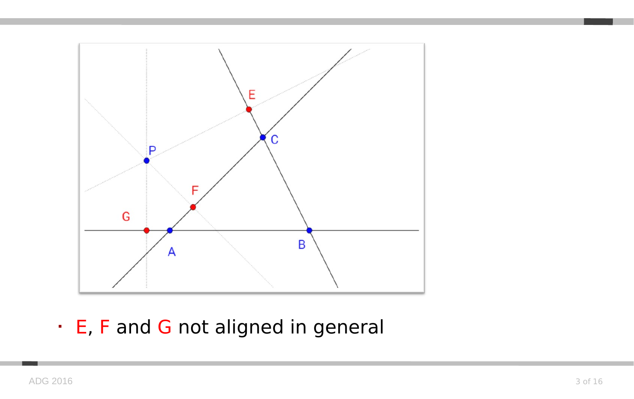

E, F and G not aligned in general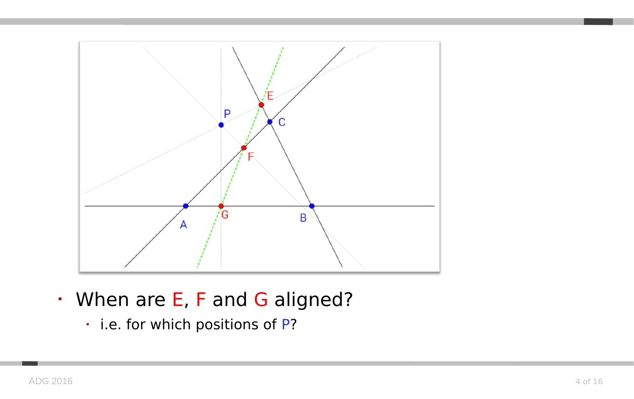

- When are E, F and G aligned?
	- i.e. for which positions of P?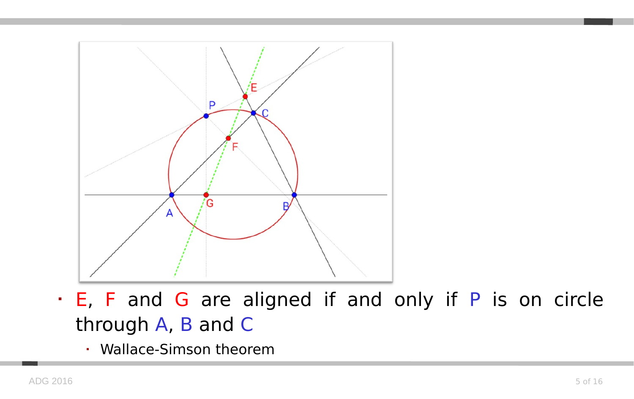

- E, F and G are aligned if and only if P is on circle through A, B and C
	- Wallace-Simson theorem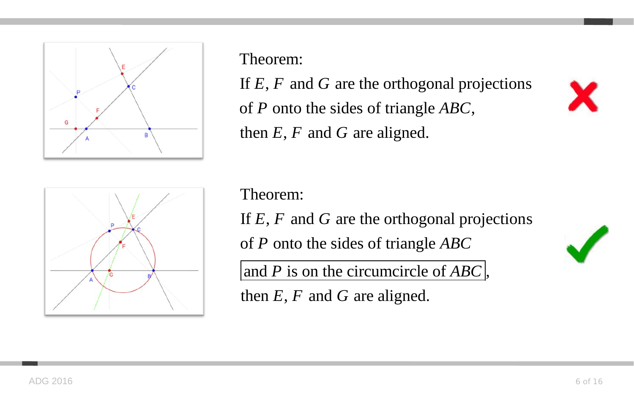

Theorem:

If  $E, F$  and  $G$  are the orthogonal projections of P onto the sides of triangle ABC, then  $E, F$  and  $G$  are aligned.

Theorem:

If  $E, F$  and  $G$  are the orthogonal projections

of P onto the sides of triangle ABC

and P is on the circumcircle of  $ABC$ ,

then  $E, F$  and  $G$  are aligned.

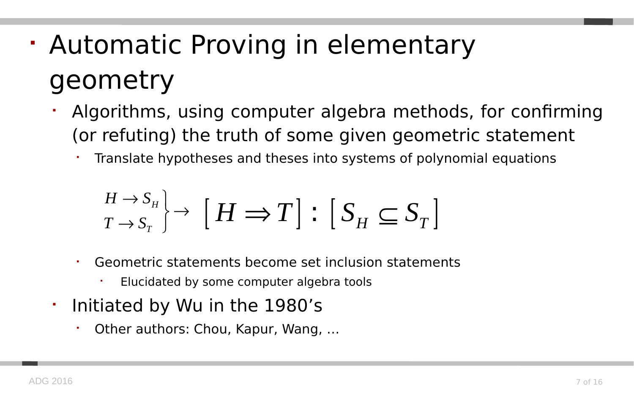# Automatic Proving in elementary geometry

- Algorithms, using computer algebra methods, for confirming (or refuting) the truth of some given geometric statement
	- Translate hypotheses and theses into systems of polynomial equations

$$
\begin{array}{c} H \rightarrow S_H \\ T \rightarrow S_T \end{array} \rightarrow \left[ H \Longrightarrow T \right] : \left[ S_H \subseteq S_T \right]
$$

- Geometric statements become set inclusion statements
	- Elucidated by some computer algebra tools
- $\blacksquare$ Initiated by Wu in the 1980's
	- Other authors: Chou, Kapur, Wang, …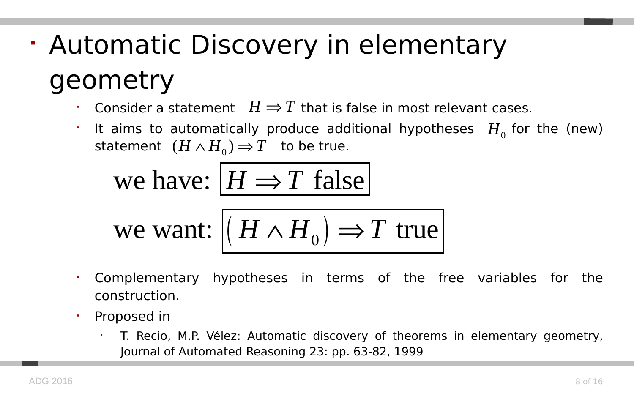# Automatic Discovery in elementary geometry

- **Consider a statement**  $H \Rightarrow T$  that is false in most relevant cases.
- F It aims to automatically produce additional hypotheses  $H_0$  for the (new) statement  $(H \wedge H_0) \Rightarrow T$  to be true.

we have: 
$$
H \Rightarrow T
$$
 false

we want: 
$$
(H \wedge H_0) \Rightarrow T
$$
 true

- Complementary hypotheses in terms of the free variables for the construction.
- Proposed in
	- T. Recio, M.P. Vélez: Automatic discovery of theorems in elementary geometry, Journal of Automated Reasoning 23: pp. 63-82, 1999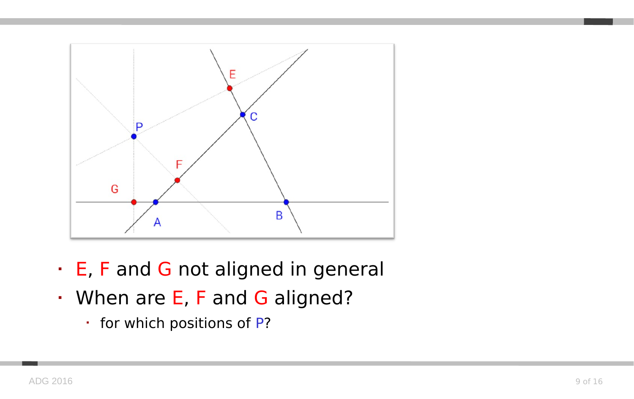

- E, F and G not aligned in general
- When are E, F and G aligned?
	- for which positions of P?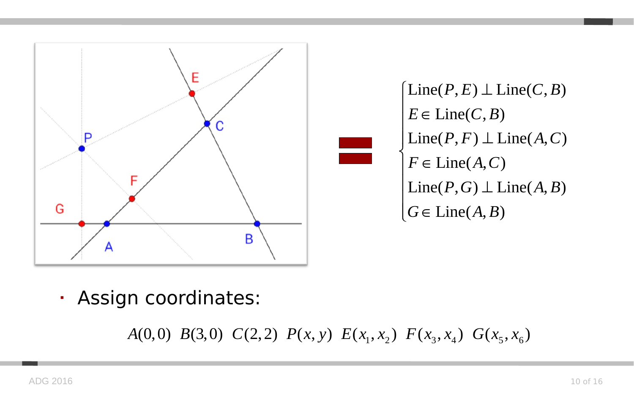

 $\left(\text{Line}(P, E) \perp \text{Line}(C, B)\right)$  $E \in \text{Line}(C, B)$  $\vert$  Line(*P*, *F*)  $\bot$  Line(*A*, *C*)  $F \in Line(A, C)$  $\big|$  Line(*P*, *G*)  $\perp$  Line(*A*, *B*)  $[G \in Line(A, B)]$  $E \in$  $\big\{$ 

Assign coordinates:

A(0,0) B(3,0) C(2,2)  $P(x, y) E(x_1, x_2) F(x_3, x_4) G(x_5, x_6)$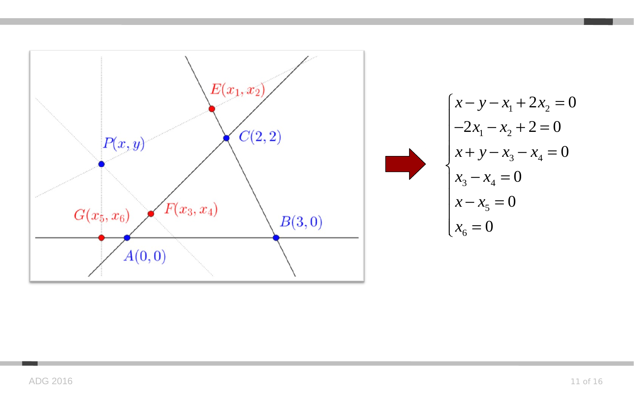

$$
\begin{cases}\nx - y - x_1 + 2x_2 = 0 \\
-2x_1 - x_2 + 2 = 0 \\
x + y - x_3 - x_4 = 0 \\
x_3 - x_4 = 0 \\
x - x_5 = 0 \\
x_6 = 0\n\end{cases}
$$

 $\mathcal{L}^{\mathcal{L}}$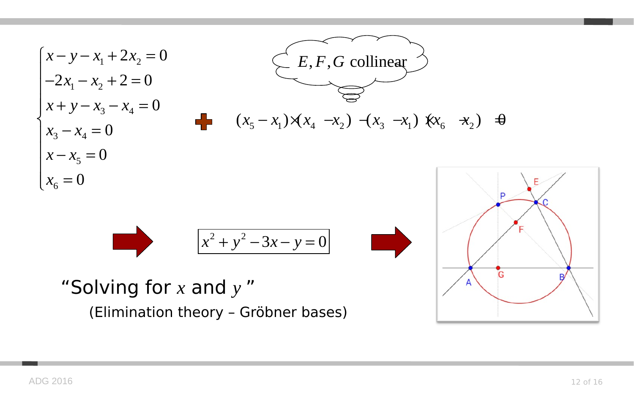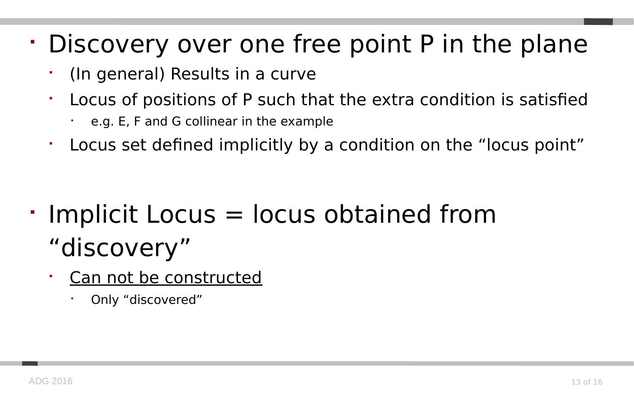#### Discovery over one free point P in the plane

- (In general) Results in a curve
- Locus of positions of P such that the extra condition is satisfied
	- e.g. E, F and G collinear in the example
- Locus set defined implicitly by a condition on the "locus point"

- Implicit Locus = locus obtained from "discovery"
	- Can not be constructed
		- Only "discovered"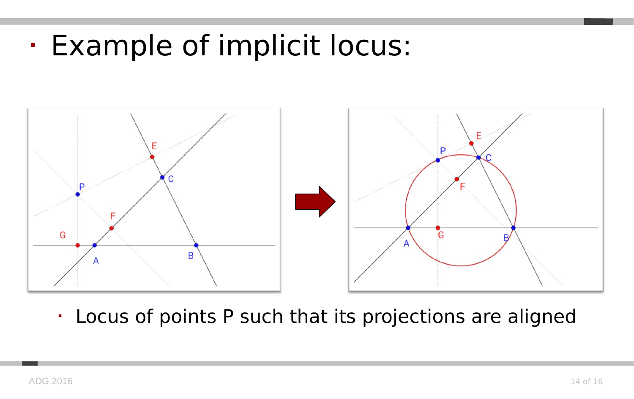Example of implicit locus:



Locus of points P such that its projections are aligned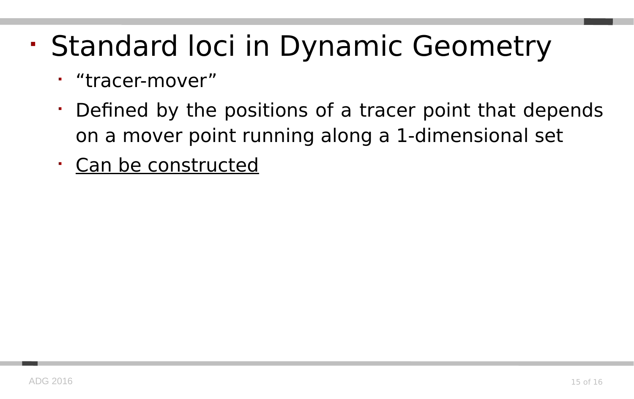# • Standard loci in Dynamic Geometry

- "tracer-mover"
- Defined by the positions of a tracer point that depends on a mover point running along a 1-dimensional set
- Can be constructed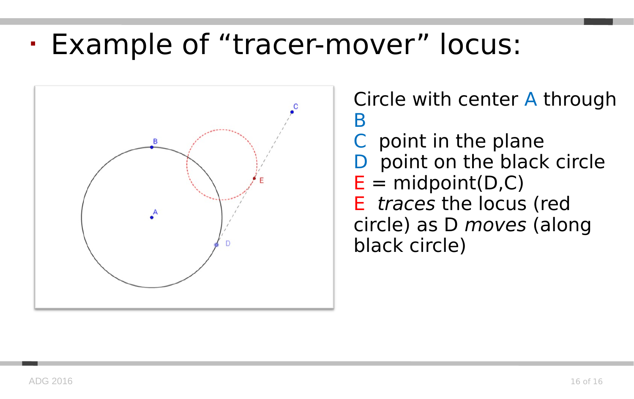#### Example of "tracer-mover" locus:



Circle with center A through B C point in the plane D point on the black circle  $E = midpoint(D,C)$ E traces the locus (red circle) as D moves (along black circle)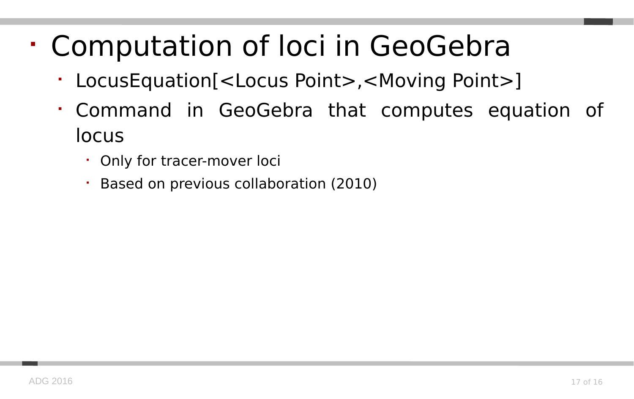## Computation of loci in GeoGebra

- LocusEquation[<Locus Point>,<Moving Point>]
- Command in GeoGebra that computes equation of locus
	- Only for tracer-mover loci
	- Based on previous collaboration (2010)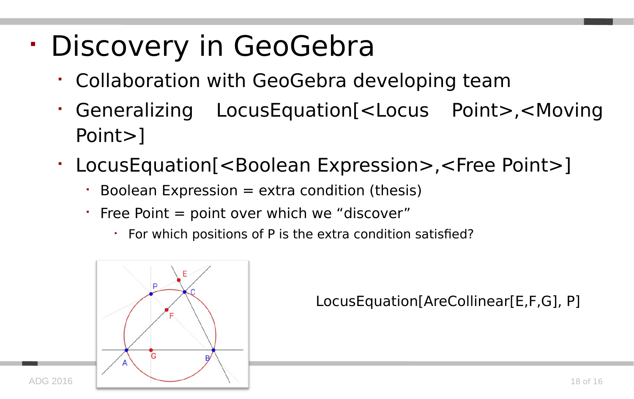# Discovery in GeoGebra

- Collaboration with GeoGebra developing team
- Generalizing LocusEquation[<Locus Point>,<Moving Point>]
- LocusEquation[<Boolean Expression>,<Free Point>]
	- $\cdot$  Boolean Expression = extra condition (thesis)
	- Free Point  $=$  point over which we "discover"
		- For which positions of P is the extra condition satisfied?



LocusEquation[AreCollinear[E,F,G], P]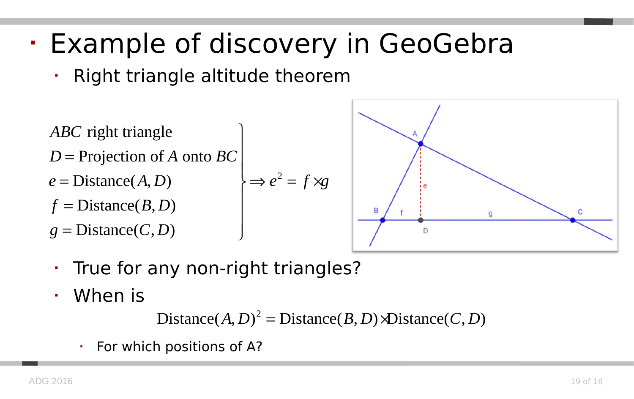#### Example of discovery in GeoGebra

- Right triangle altitude theorem
- $\Rightarrow e^2 = f \times g$ *ABC* right triangle D = Projection of A onto *BC*  $e = \text{Distance}(A, D)$   $\Rightarrow e^2 = f \times g$  $f = \text{Distance}(B, D)$  $g = \text{Distance}(C, D)$   $\overline{\phantom{a}}$



- True for any non-right triangles?
- When is

 $Distance(A, D)^2 = Distance(B, D) \triangleleft Distance(C, D)$ 

For which positions of A?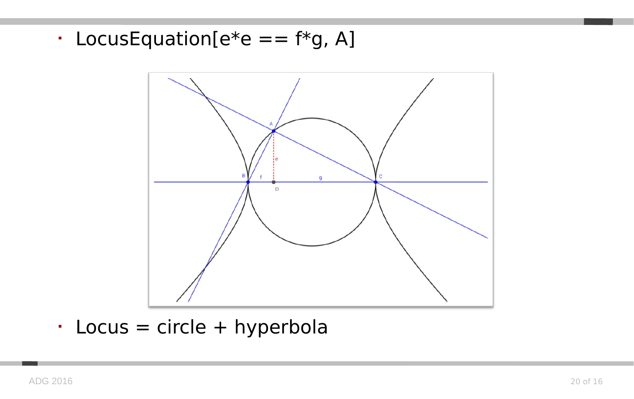• LocusEquation[ $e^*e == f^*g$ , A]



 $\cdot$  Locus = circle + hyperbola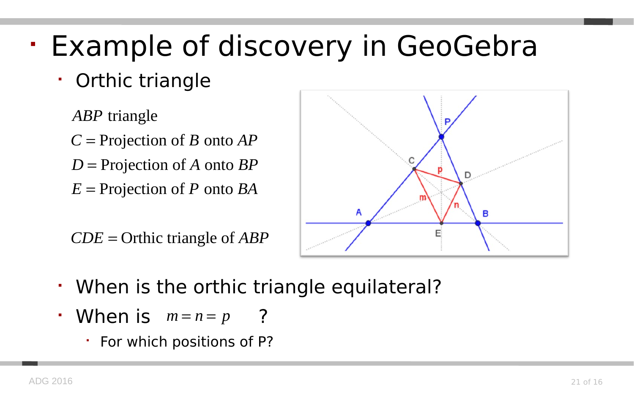## Example of discovery in GeoGebra

Orthic triangle

ABP triangle *C* = Projection of *B* onto *AP* D = Projection of A onto *BP*  $E =$  Projection of  $P$  onto  $BA$ 

 $CDE$  = Orthic triangle of *ABP* 



- When is the orthic triangle equilateral?
- **When is**  $m = n = p$  ?
	- For which positions of P?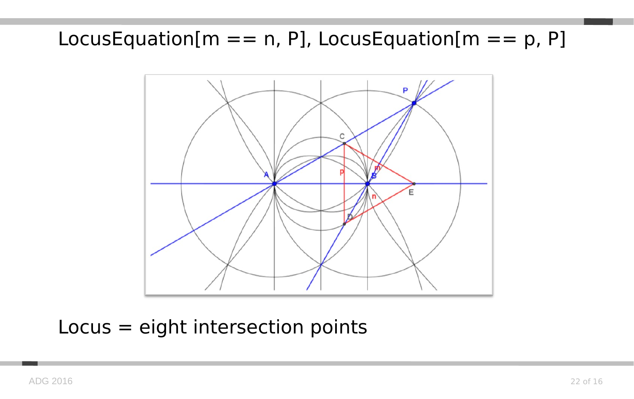#### LocusEquation[ $m == n$ , P], LocusEquation[ $m == p$ , P]



#### Locus = eight intersection points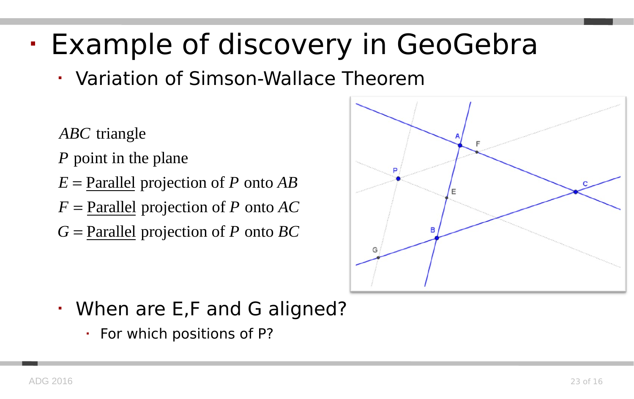## Example of discovery in GeoGebra

- Variation of Simson-Wallace Theorem
- ABC triangle
- point in the plane *P*
- $E =$  Parallel projection of P onto AB
- $F =$  <u>Parallel</u> projection of  $P$  onto  $AC$
- $G =$ Parallel projection of P onto  $BC$



- When are E,F and G aligned?
	- $\cdot$  For which positions of P?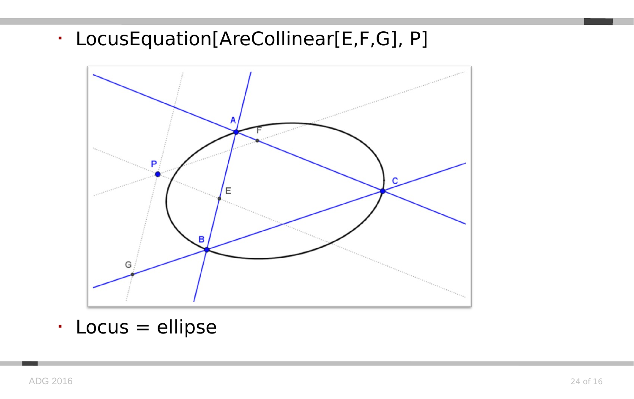LocusEquation[AreCollinear[E,F,G], P]



Locus = ellipse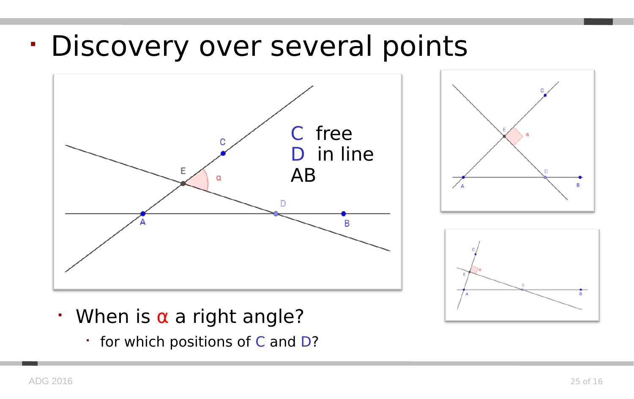#### Discovery over several points







- $\cdot$  When is  $\alpha$  a right angle?
	- for which positions of C and D?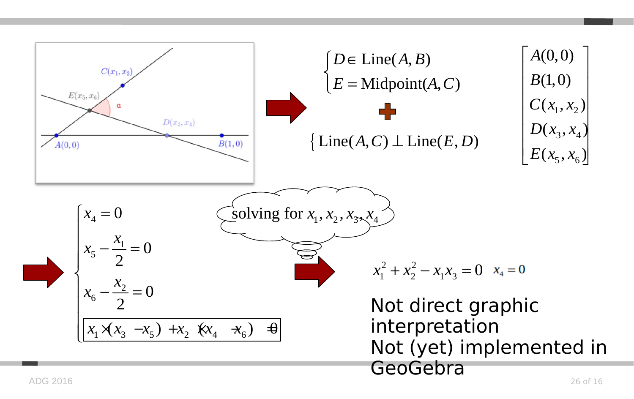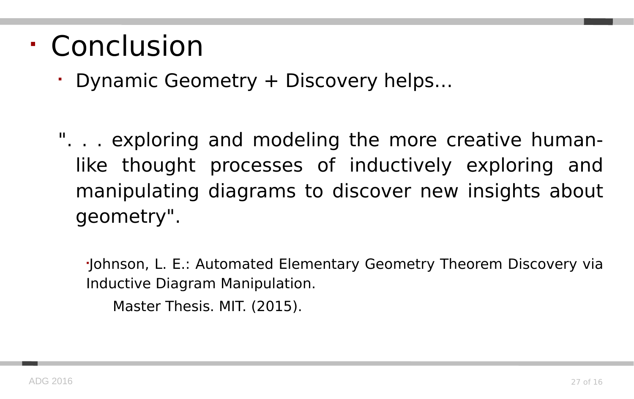#### Conclusion

Dynamic Geometry + Discovery helps…

". . . exploring and modeling the more creative humanlike thought processes of inductively exploring and manipulating diagrams to discover new insights about geometry".

 Johnson, L. E.: Automated Elementary Geometry Theorem Discovery via Inductive Diagram Manipulation.

Master Thesis. MIT. (2015).